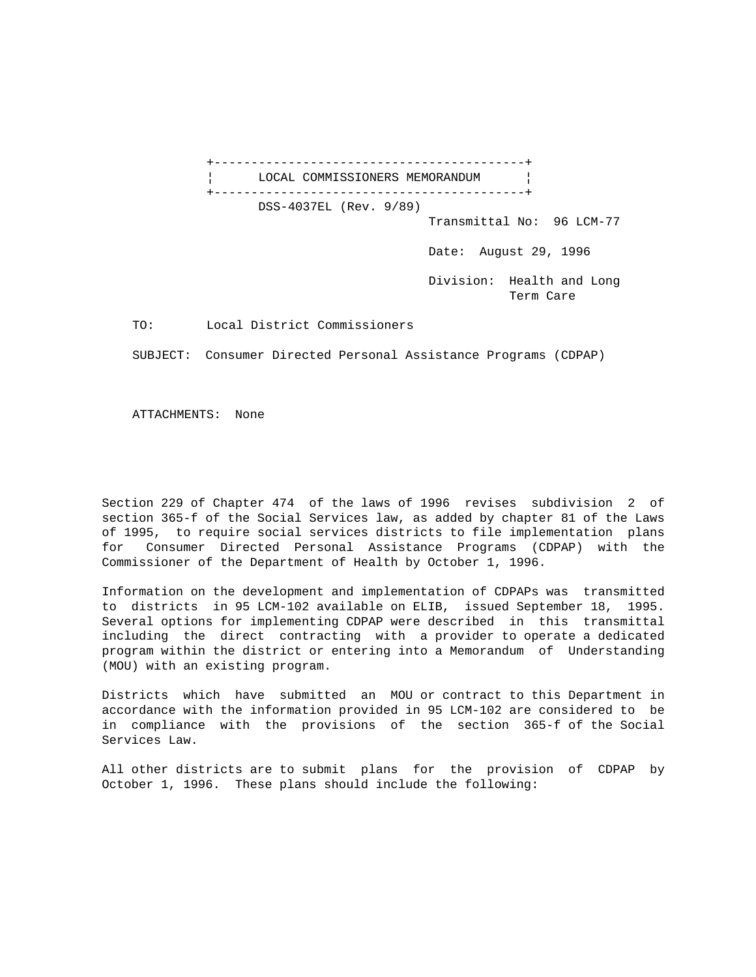+------------------------------------------+ LOCAL COMMISSIONERS MEMORANDUM | +------------------------------------------+ DSS-4037EL (Rev. 9/89) Transmittal No: 96 LCM-77 Date: August 29, 1996 Division: Health and Long Term Care

TO: Local District Commissioners

SUBJECT: Consumer Directed Personal Assistance Programs (CDPAP)

ATTACHMENTS: None

Section 229 of Chapter 474 of the laws of 1996 revises subdivision 2 of section 365-f of the Social Services law, as added by chapter 81 of the Laws of 1995, to require social services districts to file implementation plans for Consumer Directed Personal Assistance Programs (CDPAP) with the Commissioner of the Department of Health by October 1, 1996.

Information on the development and implementation of CDPAPs was transmitted to districts in 95 LCM-102 available on ELIB, issued September 18, 1995. Several options for implementing CDPAP were described in this transmittal including the direct contracting with a provider to operate a dedicated program within the district or entering into a Memorandum of Understanding (MOU) with an existing program.

Districts which have submitted an MOU or contract to this Department in accordance with the information provided in 95 LCM-102 are considered to be in compliance with the provisions of the section 365-f of the Social Services Law.

All other districts are to submit plans for the provision of CDPAP by October 1, 1996. These plans should include the following: